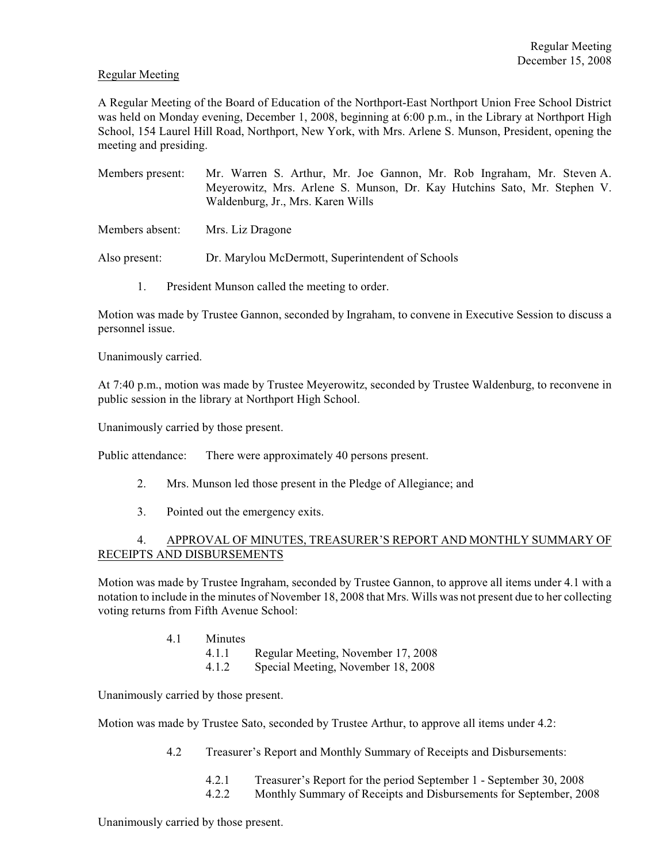#### Regular Meeting

A Regular Meeting of the Board of Education of the Northport-East Northport Union Free School District was held on Monday evening, December 1, 2008, beginning at 6:00 p.m., in the Library at Northport High School, 154 Laurel Hill Road, Northport, New York, with Mrs. Arlene S. Munson, President, opening the meeting and presiding.

- Members present: Mr. Warren S. Arthur, Mr. Joe Gannon, Mr. Rob Ingraham, Mr. Steven A. Meyerowitz, Mrs. Arlene S. Munson, Dr. Kay Hutchins Sato, Mr. Stephen V. Waldenburg, Jr., Mrs. Karen Wills
- Members absent: Mrs. Liz Dragone

Also present: Dr. Marylou McDermott, Superintendent of Schools

1. President Munson called the meeting to order.

Motion was made by Trustee Gannon, seconded by Ingraham, to convene in Executive Session to discuss a personnel issue.

Unanimously carried.

At 7:40 p.m., motion was made by Trustee Meyerowitz, seconded by Trustee Waldenburg, to reconvene in public session in the library at Northport High School.

Unanimously carried by those present.

Public attendance: There were approximately 40 persons present.

- 2. Mrs. Munson led those present in the Pledge of Allegiance; and
- 3. Pointed out the emergency exits.

## 4. APPROVAL OF MINUTES, TREASURER'S REPORT AND MONTHLY SUMMARY OF RECEIPTS AND DISBURSEMENTS

Motion was made by Trustee Ingraham, seconded by Trustee Gannon, to approve all items under 4.1 with a notation to include in the minutes of November 18, 2008 that Mrs. Wills was not present due to her collecting voting returns from Fifth Avenue School:

- 4.1 Minutes
	- 4.1.1 Regular Meeting, November 17, 2008
	- 4.1.2 Special Meeting, November 18, 2008

Unanimously carried by those present.

Motion was made by Trustee Sato, seconded by Trustee Arthur, to approve all items under 4.2:

- 4.2 Treasurer's Report and Monthly Summary of Receipts and Disbursements:
	- 4.2.1 Treasurer's Report for the period September 1 September 30, 2008
	- 4.2.2 Monthly Summary of Receipts and Disbursements for September, 2008

Unanimously carried by those present.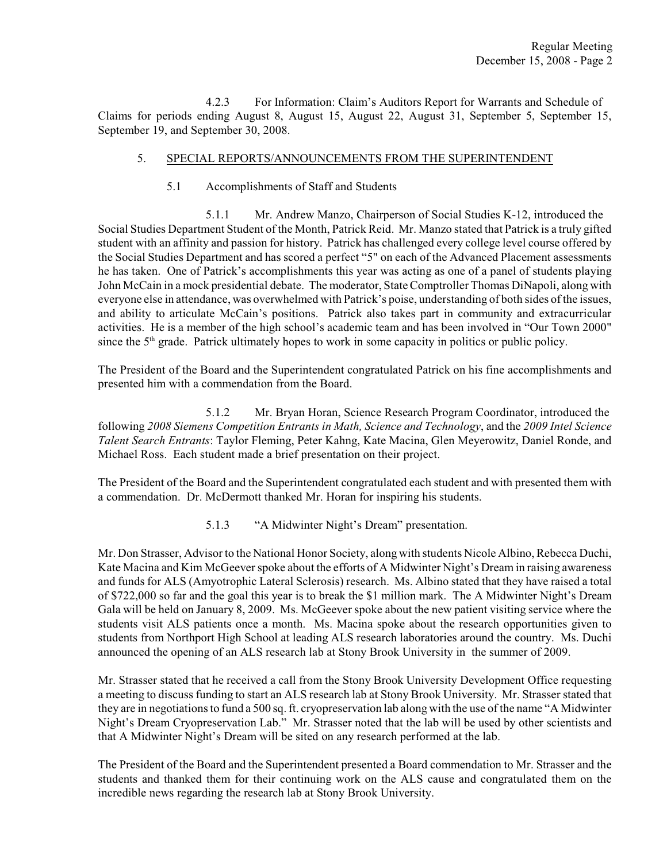4.2.3 For Information: Claim's Auditors Report for Warrants and Schedule of Claims for periods ending August 8, August 15, August 22, August 31, September 5, September 15, September 19, and September 30, 2008.

## 5. SPECIAL REPORTS/ANNOUNCEMENTS FROM THE SUPERINTENDENT

5.1 Accomplishments of Staff and Students

5.1.1 Mr. Andrew Manzo, Chairperson of Social Studies K-12, introduced the Social Studies Department Student of the Month, Patrick Reid. Mr. Manzo stated that Patrick is a truly gifted student with an affinity and passion for history. Patrick has challenged every college level course offered by the Social Studies Department and has scored a perfect "5" on each of the Advanced Placement assessments he has taken. One of Patrick's accomplishments this year was acting as one of a panel of students playing John McCain in a mock presidential debate. The moderator, State Comptroller Thomas DiNapoli, along with everyone else in attendance, was overwhelmed with Patrick's poise, understanding of both sides of the issues, and ability to articulate McCain's positions. Patrick also takes part in community and extracurricular activities. He is a member of the high school's academic team and has been involved in "Our Town 2000" since the  $5<sup>th</sup>$  grade. Patrick ultimately hopes to work in some capacity in politics or public policy.

The President of the Board and the Superintendent congratulated Patrick on his fine accomplishments and presented him with a commendation from the Board.

5.1.2 Mr. Bryan Horan, Science Research Program Coordinator, introduced the following *2008 Siemens Competition Entrants in Math, Science and Technology*, and the *2009 Intel Science Talent Search Entrants*: Taylor Fleming, Peter Kahng, Kate Macina, Glen Meyerowitz, Daniel Ronde, and Michael Ross. Each student made a brief presentation on their project.

The President of the Board and the Superintendent congratulated each student and with presented them with a commendation. Dr. McDermott thanked Mr. Horan for inspiring his students.

5.1.3 "A Midwinter Night's Dream" presentation.

Mr. Don Strasser, Advisor to the National Honor Society, along with students Nicole Albino, Rebecca Duchi, Kate Macina and Kim McGeever spoke about the efforts of A Midwinter Night's Dream in raising awareness and funds for ALS (Amyotrophic Lateral Sclerosis) research. Ms. Albino stated that they have raised a total of \$722,000 so far and the goal this year is to break the \$1 million mark. The A Midwinter Night's Dream Gala will be held on January 8, 2009. Ms. McGeever spoke about the new patient visiting service where the students visit ALS patients once a month. Ms. Macina spoke about the research opportunities given to students from Northport High School at leading ALS research laboratories around the country. Ms. Duchi announced the opening of an ALS research lab at Stony Brook University in the summer of 2009.

Mr. Strasser stated that he received a call from the Stony Brook University Development Office requesting a meeting to discuss funding to start an ALS research lab at Stony Brook University. Mr. Strasser stated that they are in negotiations to fund a 500 sq. ft. cryopreservation lab along with the use of the name "A Midwinter Night's Dream Cryopreservation Lab." Mr. Strasser noted that the lab will be used by other scientists and that A Midwinter Night's Dream will be sited on any research performed at the lab.

The President of the Board and the Superintendent presented a Board commendation to Mr. Strasser and the students and thanked them for their continuing work on the ALS cause and congratulated them on the incredible news regarding the research lab at Stony Brook University.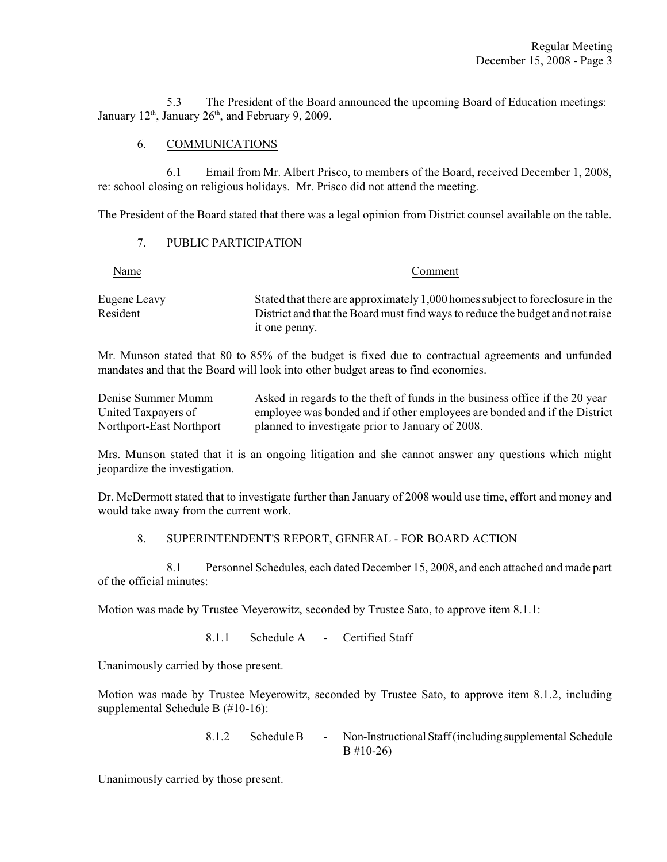5.3 The President of the Board announced the upcoming Board of Education meetings: January  $12<sup>th</sup>$ , January  $26<sup>th</sup>$ , and February 9, 2009.

# 6. COMMUNICATIONS

6.1 Email from Mr. Albert Prisco, to members of the Board, received December 1, 2008, re: school closing on religious holidays. Mr. Prisco did not attend the meeting.

The President of the Board stated that there was a legal opinion from District counsel available on the table.

## 7. PUBLIC PARTICIPATION

#### Name Comment

| Eugene Leavy | Stated that there are approximately 1,000 homes subject to foreclosure in the |
|--------------|-------------------------------------------------------------------------------|
| Resident     | District and that the Board must find ways to reduce the budget and not raise |
|              | it one penny.                                                                 |

Mr. Munson stated that 80 to 85% of the budget is fixed due to contractual agreements and unfunded mandates and that the Board will look into other budget areas to find economies.

| Denise Summer Mumm       | Asked in regards to the theft of funds in the business office if the 20 year |
|--------------------------|------------------------------------------------------------------------------|
| United Taxpayers of      | employee was bonded and if other employees are bonded and if the District    |
| Northport-East Northport | planned to investigate prior to January of 2008.                             |

Mrs. Munson stated that it is an ongoing litigation and she cannot answer any questions which might jeopardize the investigation.

Dr. McDermott stated that to investigate further than January of 2008 would use time, effort and money and would take away from the current work.

## 8. SUPERINTENDENT'S REPORT, GENERAL - FOR BOARD ACTION

8.1 Personnel Schedules, each dated December 15, 2008, and each attached and made part of the official minutes:

Motion was made by Trustee Meyerowitz, seconded by Trustee Sato, to approve item 8.1.1:

8.1.1 Schedule A - Certified Staff

Unanimously carried by those present.

Motion was made by Trustee Meyerowitz, seconded by Trustee Sato, to approve item 8.1.2, including supplemental Schedule B (#10-16):

> 8.1.2 Schedule B - Non-Instructional Staff (including supplemental Schedule B #10-26)

Unanimously carried by those present.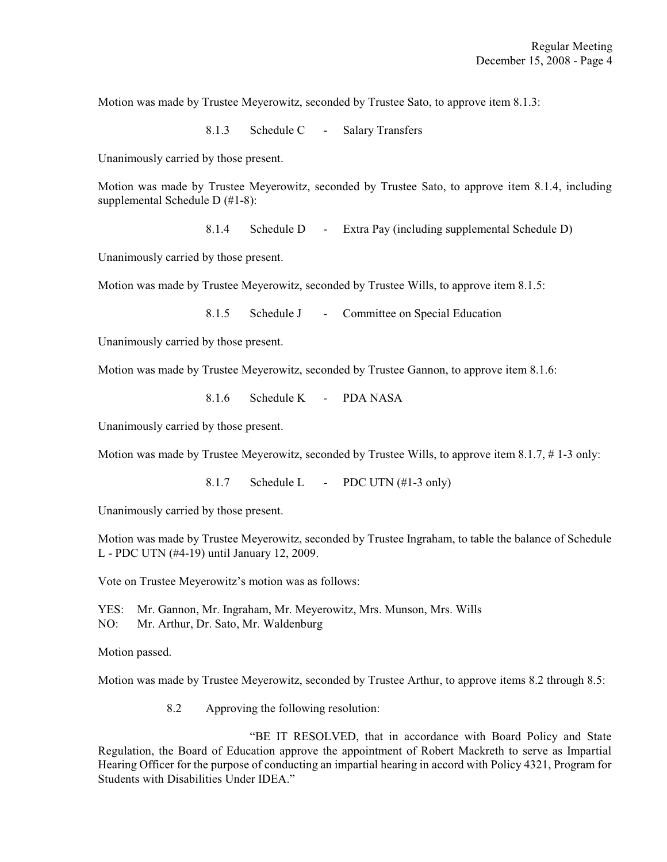Motion was made by Trustee Meyerowitz, seconded by Trustee Sato, to approve item 8.1.3:

8.1.3 Schedule C - Salary Transfers

Unanimously carried by those present.

Motion was made by Trustee Meyerowitz, seconded by Trustee Sato, to approve item 8.1.4, including supplemental Schedule D (#1-8):

8.1.4 Schedule D - Extra Pay (including supplemental Schedule D)

Unanimously carried by those present.

Motion was made by Trustee Meyerowitz, seconded by Trustee Wills, to approve item 8.1.5:

8.1.5 Schedule J - Committee on Special Education

Unanimously carried by those present.

Motion was made by Trustee Meyerowitz, seconded by Trustee Gannon, to approve item 8.1.6:

8.1.6 Schedule K - PDA NASA

Unanimously carried by those present.

Motion was made by Trustee Meyerowitz, seconded by Trustee Wills, to approve item 8.1.7, # 1-3 only:

8.1.7 Schedule L - PDC UTN  $(\#1-3 \text{ only})$ 

Unanimously carried by those present.

Motion was made by Trustee Meyerowitz, seconded by Trustee Ingraham, to table the balance of Schedule L - PDC UTN (#4-19) until January 12, 2009.

Vote on Trustee Meyerowitz's motion was as follows:

YES: Mr. Gannon, Mr. Ingraham, Mr. Meyerowitz, Mrs. Munson, Mrs. Wills NO: Mr. Arthur, Dr. Sato, Mr. Waldenburg

Motion passed.

Motion was made by Trustee Meyerowitz, seconded by Trustee Arthur, to approve items 8.2 through 8.5:

8.2 Approving the following resolution:

"BE IT RESOLVED, that in accordance with Board Policy and State Regulation, the Board of Education approve the appointment of Robert Mackreth to serve as Impartial Hearing Officer for the purpose of conducting an impartial hearing in accord with Policy 4321, Program for Students with Disabilities Under IDEA."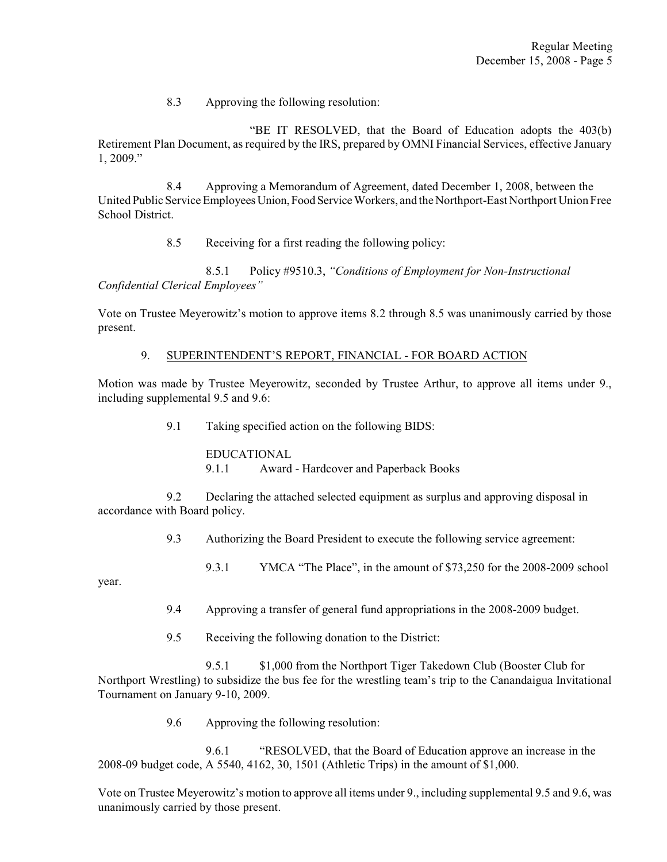8.3 Approving the following resolution:

"BE IT RESOLVED, that the Board of Education adopts the 403(b) Retirement Plan Document, as required by the IRS, prepared by OMNI Financial Services, effective January 1, 2009."

8.4 Approving a Memorandum of Agreement, dated December 1, 2008, between the United Public Service Employees Union, Food Service Workers, and the Northport-East Northport Union Free School District.

8.5 Receiving for a first reading the following policy:

8.5.1 Policy #9510.3, *"Conditions of Employment for Non-Instructional Confidential Clerical Employees"*

Vote on Trustee Meyerowitz's motion to approve items 8.2 through 8.5 was unanimously carried by those present.

# 9. SUPERINTENDENT'S REPORT, FINANCIAL - FOR BOARD ACTION

Motion was made by Trustee Meyerowitz, seconded by Trustee Arthur, to approve all items under 9., including supplemental 9.5 and 9.6:

9.1 Taking specified action on the following BIDS:

EDUCATIONAL 9.1.1 Award - Hardcover and Paperback Books

9.2 Declaring the attached selected equipment as surplus and approving disposal in accordance with Board policy.

9.3 Authorizing the Board President to execute the following service agreement:

9.3.1 YMCA "The Place", in the amount of \$73,250 for the 2008-2009 school

year.

- 9.4 Approving a transfer of general fund appropriations in the 2008-2009 budget.
- 9.5 Receiving the following donation to the District:

9.5.1 \$1,000 from the Northport Tiger Takedown Club (Booster Club for Northport Wrestling) to subsidize the bus fee for the wrestling team's trip to the Canandaigua Invitational Tournament on January 9-10, 2009.

9.6 Approving the following resolution:

9.6.1 "RESOLVED, that the Board of Education approve an increase in the 2008-09 budget code, A 5540, 4162, 30, 1501 (Athletic Trips) in the amount of \$1,000.

Vote on Trustee Meyerowitz's motion to approve all items under 9., including supplemental 9.5 and 9.6, was unanimously carried by those present.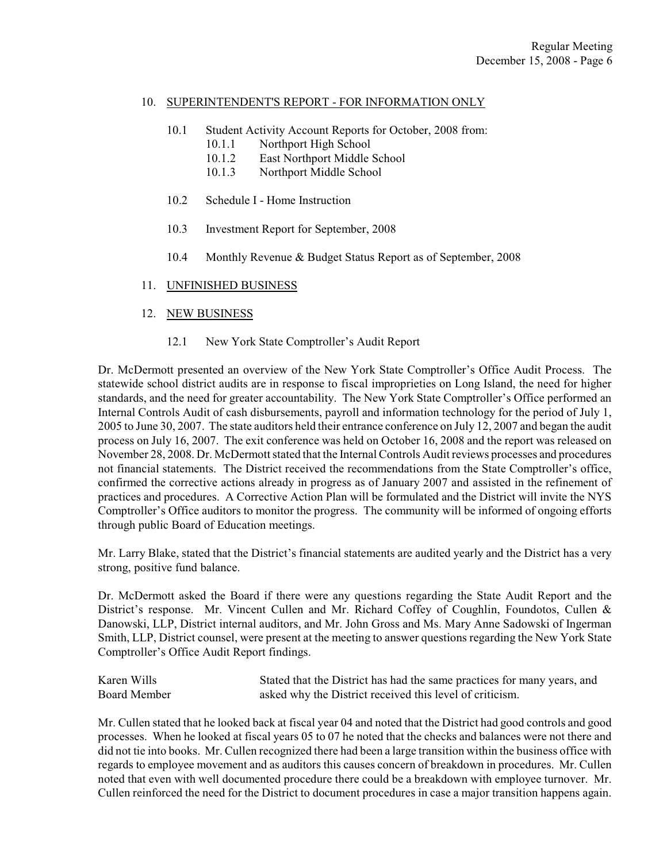## 10. SUPERINTENDENT'S REPORT - FOR INFORMATION ONLY

- 10.1 Student Activity Account Reports for October, 2008 from:
	- 10.1.1 Northport High School
	- 10.1.2 East Northport Middle School
	- 10.1.3 Northport Middle School
- 10.2 Schedule I Home Instruction
- 10.3 Investment Report for September, 2008
- 10.4 Monthly Revenue & Budget Status Report as of September, 2008

# 11. UNFINISHED BUSINESS

# 12. NEW BUSINESS

12.1 New York State Comptroller's Audit Report

Dr. McDermott presented an overview of the New York State Comptroller's Office Audit Process. The statewide school district audits are in response to fiscal improprieties on Long Island, the need for higher standards, and the need for greater accountability. The New York State Comptroller's Office performed an Internal Controls Audit of cash disbursements, payroll and information technology for the period of July 1, 2005 to June 30, 2007. The state auditors held their entrance conference on July 12, 2007 and began the audit process on July 16, 2007. The exit conference was held on October 16, 2008 and the report was released on November 28, 2008. Dr. McDermott stated that the Internal Controls Audit reviews processes and procedures not financial statements. The District received the recommendations from the State Comptroller's office, confirmed the corrective actions already in progress as of January 2007 and assisted in the refinement of practices and procedures. A Corrective Action Plan will be formulated and the District will invite the NYS Comptroller's Office auditors to monitor the progress. The community will be informed of ongoing efforts through public Board of Education meetings.

Mr. Larry Blake, stated that the District's financial statements are audited yearly and the District has a very strong, positive fund balance.

Dr. McDermott asked the Board if there were any questions regarding the State Audit Report and the District's response. Mr. Vincent Cullen and Mr. Richard Coffey of Coughlin, Foundotos, Cullen & Danowski, LLP, District internal auditors, and Mr. John Gross and Ms. Mary Anne Sadowski of Ingerman Smith, LLP, District counsel, were present at the meeting to answer questions regarding the New York State Comptroller's Office Audit Report findings.

Karen Wills Stated that the District has had the same practices for many years, and Board Member asked why the District received this level of criticism.

Mr. Cullen stated that he looked back at fiscal year 04 and noted that the District had good controls and good processes. When he looked at fiscal years 05 to 07 he noted that the checks and balances were not there and did not tie into books. Mr. Cullen recognized there had been a large transition within the business office with regards to employee movement and as auditors this causes concern of breakdown in procedures. Mr. Cullen noted that even with well documented procedure there could be a breakdown with employee turnover. Mr. Cullen reinforced the need for the District to document procedures in case a major transition happens again.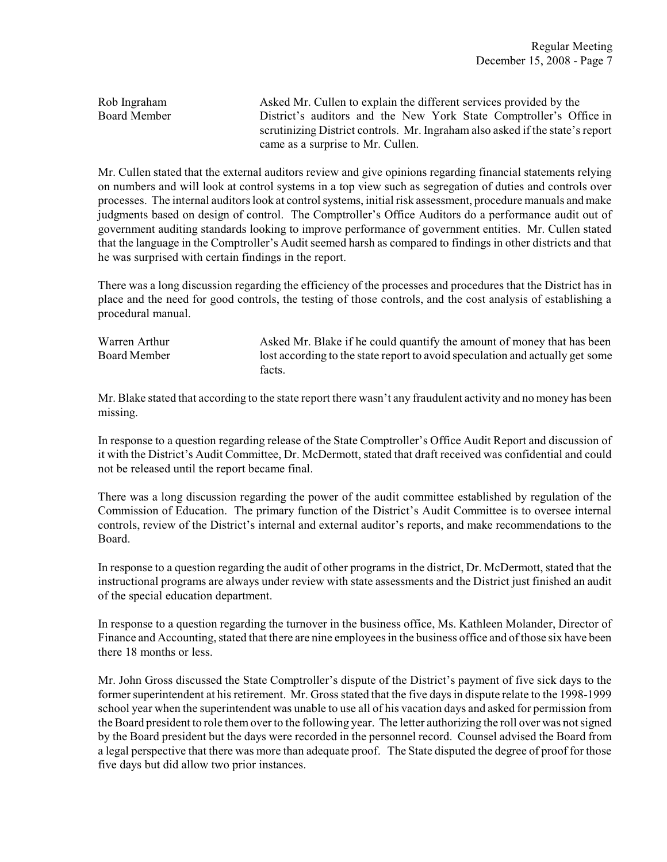Rob Ingraham Asked Mr. Cullen to explain the different services provided by the Board Member District's auditors and the New York State Comptroller's Office in scrutinizing District controls. Mr. Ingraham also asked if the state's report came as a surprise to Mr. Cullen.

Mr. Cullen stated that the external auditors review and give opinions regarding financial statements relying on numbers and will look at control systems in a top view such as segregation of duties and controls over processes. The internal auditors look at control systems, initial risk assessment, procedure manuals and make judgments based on design of control. The Comptroller's Office Auditors do a performance audit out of government auditing standards looking to improve performance of government entities. Mr. Cullen stated that the language in the Comptroller's Audit seemed harsh as compared to findings in other districts and that he was surprised with certain findings in the report.

There was a long discussion regarding the efficiency of the processes and procedures that the District has in place and the need for good controls, the testing of those controls, and the cost analysis of establishing a procedural manual.

Warren Arthur Asked Mr. Blake if he could quantify the amount of money that has been Board Member lost according to the state report to avoid speculation and actually get some facts.

Mr. Blake stated that according to the state report there wasn't any fraudulent activity and no money has been missing.

In response to a question regarding release of the State Comptroller's Office Audit Report and discussion of it with the District's Audit Committee, Dr. McDermott, stated that draft received was confidential and could not be released until the report became final.

There was a long discussion regarding the power of the audit committee established by regulation of the Commission of Education. The primary function of the District's Audit Committee is to oversee internal controls, review of the District's internal and external auditor's reports, and make recommendations to the Board.

In response to a question regarding the audit of other programs in the district, Dr. McDermott, stated that the instructional programs are always under review with state assessments and the District just finished an audit of the special education department.

In response to a question regarding the turnover in the business office, Ms. Kathleen Molander, Director of Finance and Accounting, stated that there are nine employees in the business office and of those six have been there 18 months or less.

Mr. John Gross discussed the State Comptroller's dispute of the District's payment of five sick days to the former superintendent at his retirement. Mr. Gross stated that the five days in dispute relate to the 1998-1999 school year when the superintendent was unable to use all of his vacation days and asked for permission from the Board president to role them over to the following year. The letter authorizing the roll over was not signed by the Board president but the days were recorded in the personnel record. Counsel advised the Board from a legal perspective that there was more than adequate proof. The State disputed the degree of proof for those five days but did allow two prior instances.